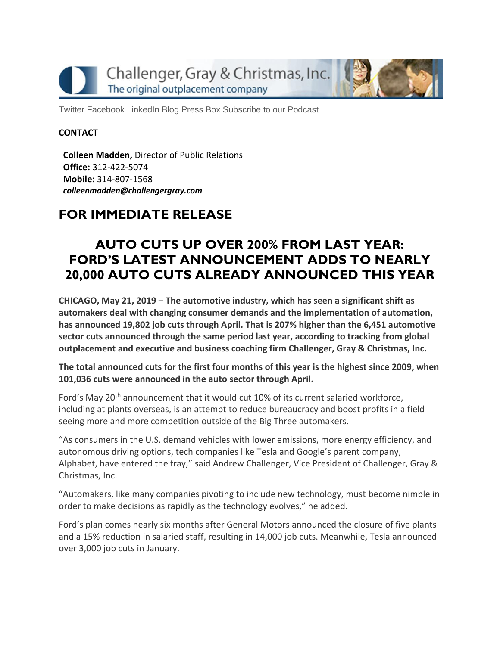Challenger, Gray & Christmas, Inc. The original outplacement company

[Twitter](https://twitter.com/#!/ChallengerGray) [Facebook](https://www.facebook.com/ChallengerGray) [LinkedIn](http://www.linkedin.com/company/28264?trk=tyah) [Blog](http://www.challengergray.com/press/blog) [Press](http://www.challengergray.com/press/press-releases) Box [Subscribe](https://itunes.apple.com/us/podcast/challenger-podcast-hr-passport/id1155541697?mt=2) to our Podcast

### **CONTACT**

**Colleen Madden,** Director of Public Relations **Office:** 312-422-5074 **Mobile:** 314-807-1568 *[colleenmadden@challengergray.com](mailto:colleenmadden@challengergray.com)*

# **FOR IMMEDIATE RELEASE**

# **AUTO CUTS UP OVER 200% FROM LAST YEAR: FORD'S LATEST ANNOUNCEMENT ADDS TO NEARLY 20,000 AUTO CUTS ALREADY ANNOUNCED THIS YEAR**

**CHICAGO, May 21, 2019 – The automotive industry, which has seen a significant shift as automakers deal with changing consumer demands and the implementation of automation, has announced 19,802 job cuts through April. That is 207% higher than the 6,451 automotive sector cuts announced through the same period last year, according to tracking from global outplacement and executive and business coaching firm Challenger, Gray & Christmas, Inc.**

**The total announced cuts for the first four months of this year is the highest since 2009, when 101,036 cuts were announced in the auto sector through April.**

Ford's May 20<sup>th</sup> announcement that it would cut 10% of its current salaried workforce, including at plants overseas, is an attempt to reduce bureaucracy and boost profits in a field seeing more and more competition outside of the Big Three automakers.

"As consumers in the U.S. demand vehicles with lower emissions, more energy efficiency, and autonomous driving options, tech companies like Tesla and Google's parent company, Alphabet, have entered the fray," said Andrew Challenger, Vice President of Challenger, Gray & Christmas, Inc.

"Automakers, like many companies pivoting to include new technology, must become nimble in order to make decisions as rapidly as the technology evolves," he added.

Ford's plan comes nearly six months after General Motors announced the closure of five plants and a 15% reduction in salaried staff, resulting in 14,000 job cuts. Meanwhile, Tesla announced over 3,000 job cuts in January.